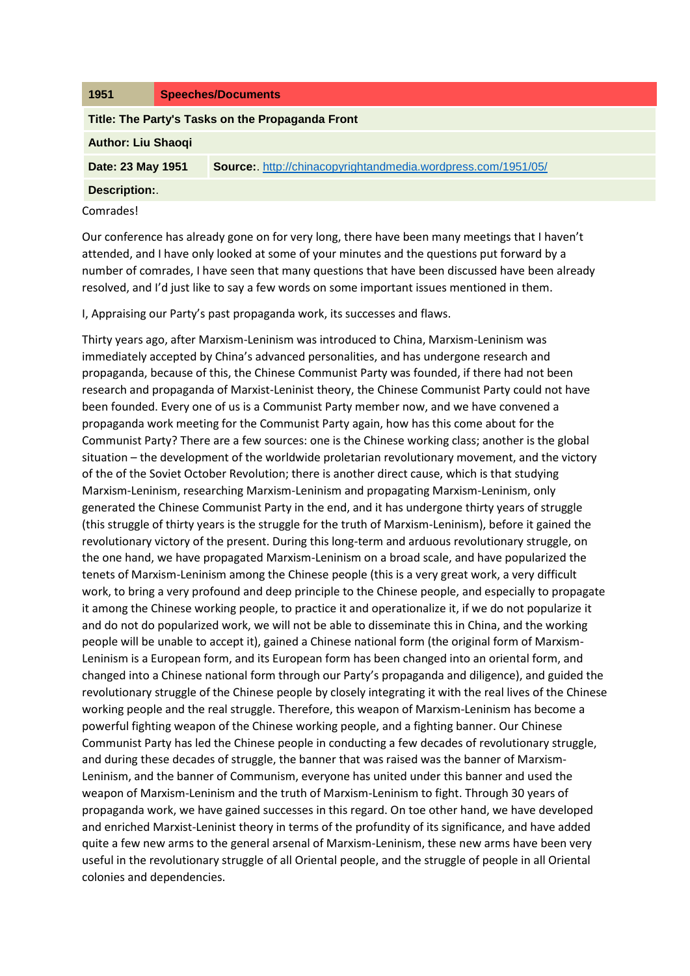| 1951                                             | <b>Speeches/Documents</b>                                           |
|--------------------------------------------------|---------------------------------------------------------------------|
| Title: The Party's Tasks on the Propaganda Front |                                                                     |
| <b>Author: Liu Shaoqi</b>                        |                                                                     |
| Date: 23 May 1951                                | <b>Source:</b> http://chinacopyrightandmedia.wordpress.com/1951/05/ |
| <b>Description:.</b>                             |                                                                     |
| Comrades!                                        |                                                                     |

Our conference has already gone on for very long, there have been many meetings that I haven't attended, and I have only looked at some of your minutes and the questions put forward by a number of comrades, I have seen that many questions that have been discussed have been already resolved, and I'd just like to say a few words on some important issues mentioned in them.

I, Appraising our Party's past propaganda work, its successes and flaws.

Thirty years ago, after Marxism-Leninism was introduced to China, Marxism-Leninism was immediately accepted by China's advanced personalities, and has undergone research and propaganda, because of this, the Chinese Communist Party was founded, if there had not been research and propaganda of Marxist-Leninist theory, the Chinese Communist Party could not have been founded. Every one of us is a Communist Party member now, and we have convened a propaganda work meeting for the Communist Party again, how has this come about for the Communist Party? There are a few sources: one is the Chinese working class; another is the global situation – the development of the worldwide proletarian revolutionary movement, and the victory of the of the Soviet October Revolution; there is another direct cause, which is that studying Marxism-Leninism, researching Marxism-Leninism and propagating Marxism-Leninism, only generated the Chinese Communist Party in the end, and it has undergone thirty years of struggle (this struggle of thirty years is the struggle for the truth of Marxism-Leninism), before it gained the revolutionary victory of the present. During this long-term and arduous revolutionary struggle, on the one hand, we have propagated Marxism-Leninism on a broad scale, and have popularized the tenets of Marxism-Leninism among the Chinese people (this is a very great work, a very difficult work, to bring a very profound and deep principle to the Chinese people, and especially to propagate it among the Chinese working people, to practice it and operationalize it, if we do not popularize it and do not do popularized work, we will not be able to disseminate this in China, and the working people will be unable to accept it), gained a Chinese national form (the original form of Marxism-Leninism is a European form, and its European form has been changed into an oriental form, and changed into a Chinese national form through our Party's propaganda and diligence), and guided the revolutionary struggle of the Chinese people by closely integrating it with the real lives of the Chinese working people and the real struggle. Therefore, this weapon of Marxism-Leninism has become a powerful fighting weapon of the Chinese working people, and a fighting banner. Our Chinese Communist Party has led the Chinese people in conducting a few decades of revolutionary struggle, and during these decades of struggle, the banner that was raised was the banner of Marxism-Leninism, and the banner of Communism, everyone has united under this banner and used the weapon of Marxism-Leninism and the truth of Marxism-Leninism to fight. Through 30 years of propaganda work, we have gained successes in this regard. On toe other hand, we have developed and enriched Marxist-Leninist theory in terms of the profundity of its significance, and have added quite a few new arms to the general arsenal of Marxism-Leninism, these new arms have been very useful in the revolutionary struggle of all Oriental people, and the struggle of people in all Oriental colonies and dependencies.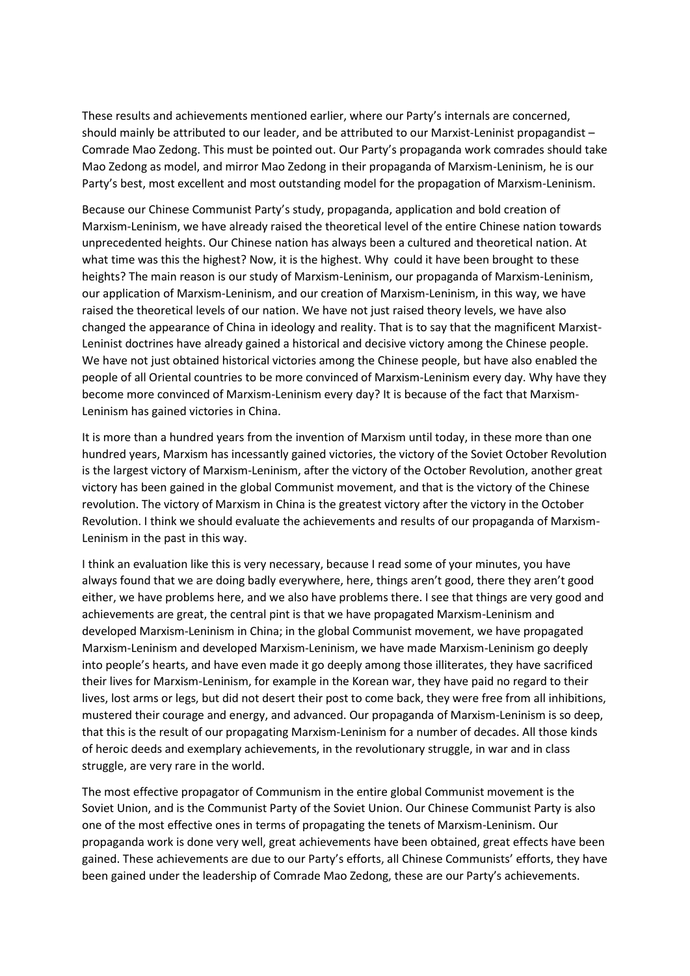These results and achievements mentioned earlier, where our Party's internals are concerned, should mainly be attributed to our leader, and be attributed to our Marxist-Leninist propagandist – Comrade Mao Zedong. This must be pointed out. Our Party's propaganda work comrades should take Mao Zedong as model, and mirror Mao Zedong in their propaganda of Marxism-Leninism, he is our Party's best, most excellent and most outstanding model for the propagation of Marxism-Leninism.

Because our Chinese Communist Party's study, propaganda, application and bold creation of Marxism-Leninism, we have already raised the theoretical level of the entire Chinese nation towards unprecedented heights. Our Chinese nation has always been a cultured and theoretical nation. At what time was this the highest? Now, it is the highest. Why could it have been brought to these heights? The main reason is our study of Marxism-Leninism, our propaganda of Marxism-Leninism, our application of Marxism-Leninism, and our creation of Marxism-Leninism, in this way, we have raised the theoretical levels of our nation. We have not just raised theory levels, we have also changed the appearance of China in ideology and reality. That is to say that the magnificent Marxist-Leninist doctrines have already gained a historical and decisive victory among the Chinese people. We have not just obtained historical victories among the Chinese people, but have also enabled the people of all Oriental countries to be more convinced of Marxism-Leninism every day. Why have they become more convinced of Marxism-Leninism every day? It is because of the fact that Marxism-Leninism has gained victories in China.

It is more than a hundred years from the invention of Marxism until today, in these more than one hundred years, Marxism has incessantly gained victories, the victory of the Soviet October Revolution is the largest victory of Marxism-Leninism, after the victory of the October Revolution, another great victory has been gained in the global Communist movement, and that is the victory of the Chinese revolution. The victory of Marxism in China is the greatest victory after the victory in the October Revolution. I think we should evaluate the achievements and results of our propaganda of Marxism-Leninism in the past in this way.

I think an evaluation like this is very necessary, because I read some of your minutes, you have always found that we are doing badly everywhere, here, things aren't good, there they aren't good either, we have problems here, and we also have problems there. I see that things are very good and achievements are great, the central pint is that we have propagated Marxism-Leninism and developed Marxism-Leninism in China; in the global Communist movement, we have propagated Marxism-Leninism and developed Marxism-Leninism, we have made Marxism-Leninism go deeply into people's hearts, and have even made it go deeply among those illiterates, they have sacrificed their lives for Marxism-Leninism, for example in the Korean war, they have paid no regard to their lives, lost arms or legs, but did not desert their post to come back, they were free from all inhibitions, mustered their courage and energy, and advanced. Our propaganda of Marxism-Leninism is so deep, that this is the result of our propagating Marxism-Leninism for a number of decades. All those kinds of heroic deeds and exemplary achievements, in the revolutionary struggle, in war and in class struggle, are very rare in the world.

The most effective propagator of Communism in the entire global Communist movement is the Soviet Union, and is the Communist Party of the Soviet Union. Our Chinese Communist Party is also one of the most effective ones in terms of propagating the tenets of Marxism-Leninism. Our propaganda work is done very well, great achievements have been obtained, great effects have been gained. These achievements are due to our Party's efforts, all Chinese Communists' efforts, they have been gained under the leadership of Comrade Mao Zedong, these are our Party's achievements.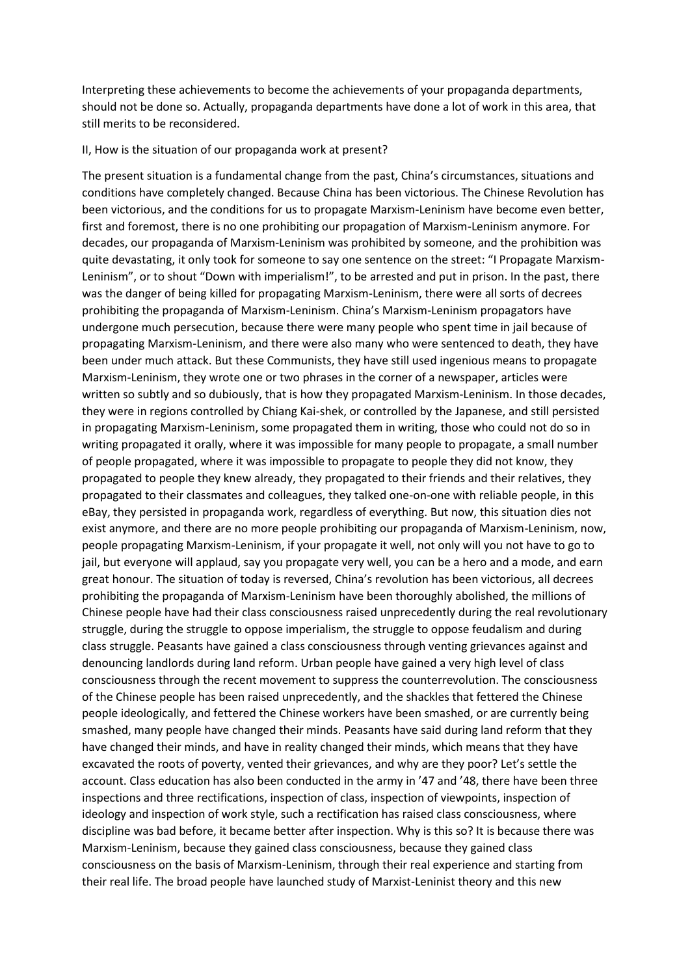Interpreting these achievements to become the achievements of your propaganda departments, should not be done so. Actually, propaganda departments have done a lot of work in this area, that still merits to be reconsidered.

## II, How is the situation of our propaganda work at present?

The present situation is a fundamental change from the past, China's circumstances, situations and conditions have completely changed. Because China has been victorious. The Chinese Revolution has been victorious, and the conditions for us to propagate Marxism-Leninism have become even better, first and foremost, there is no one prohibiting our propagation of Marxism-Leninism anymore. For decades, our propaganda of Marxism-Leninism was prohibited by someone, and the prohibition was quite devastating, it only took for someone to say one sentence on the street: "I Propagate Marxism-Leninism", or to shout "Down with imperialism!", to be arrested and put in prison. In the past, there was the danger of being killed for propagating Marxism-Leninism, there were all sorts of decrees prohibiting the propaganda of Marxism-Leninism. China's Marxism-Leninism propagators have undergone much persecution, because there were many people who spent time in jail because of propagating Marxism-Leninism, and there were also many who were sentenced to death, they have been under much attack. But these Communists, they have still used ingenious means to propagate Marxism-Leninism, they wrote one or two phrases in the corner of a newspaper, articles were written so subtly and so dubiously, that is how they propagated Marxism-Leninism. In those decades, they were in regions controlled by Chiang Kai-shek, or controlled by the Japanese, and still persisted in propagating Marxism-Leninism, some propagated them in writing, those who could not do so in writing propagated it orally, where it was impossible for many people to propagate, a small number of people propagated, where it was impossible to propagate to people they did not know, they propagated to people they knew already, they propagated to their friends and their relatives, they propagated to their classmates and colleagues, they talked one-on-one with reliable people, in this eBay, they persisted in propaganda work, regardless of everything. But now, this situation dies not exist anymore, and there are no more people prohibiting our propaganda of Marxism-Leninism, now, people propagating Marxism-Leninism, if your propagate it well, not only will you not have to go to jail, but everyone will applaud, say you propagate very well, you can be a hero and a mode, and earn great honour. The situation of today is reversed, China's revolution has been victorious, all decrees prohibiting the propaganda of Marxism-Leninism have been thoroughly abolished, the millions of Chinese people have had their class consciousness raised unprecedently during the real revolutionary struggle, during the struggle to oppose imperialism, the struggle to oppose feudalism and during class struggle. Peasants have gained a class consciousness through venting grievances against and denouncing landlords during land reform. Urban people have gained a very high level of class consciousness through the recent movement to suppress the counterrevolution. The consciousness of the Chinese people has been raised unprecedently, and the shackles that fettered the Chinese people ideologically, and fettered the Chinese workers have been smashed, or are currently being smashed, many people have changed their minds. Peasants have said during land reform that they have changed their minds, and have in reality changed their minds, which means that they have excavated the roots of poverty, vented their grievances, and why are they poor? Let's settle the account. Class education has also been conducted in the army in '47 and '48, there have been three inspections and three rectifications, inspection of class, inspection of viewpoints, inspection of ideology and inspection of work style, such a rectification has raised class consciousness, where discipline was bad before, it became better after inspection. Why is this so? It is because there was Marxism-Leninism, because they gained class consciousness, because they gained class consciousness on the basis of Marxism-Leninism, through their real experience and starting from their real life. The broad people have launched study of Marxist-Leninist theory and this new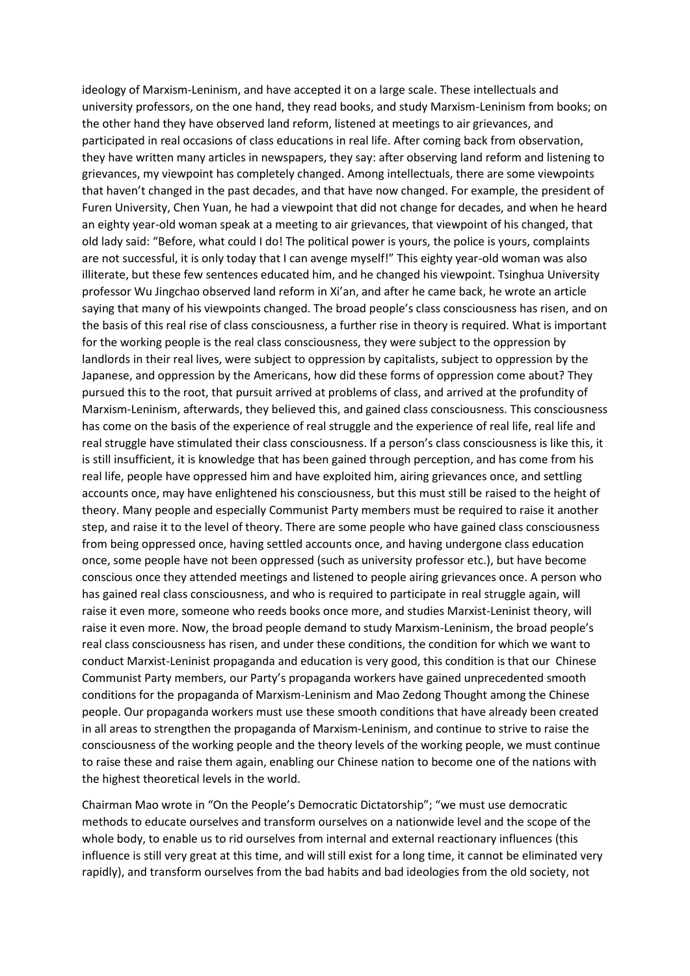ideology of Marxism-Leninism, and have accepted it on a large scale. These intellectuals and university professors, on the one hand, they read books, and study Marxism-Leninism from books; on the other hand they have observed land reform, listened at meetings to air grievances, and participated in real occasions of class educations in real life. After coming back from observation, they have written many articles in newspapers, they say: after observing land reform and listening to grievances, my viewpoint has completely changed. Among intellectuals, there are some viewpoints that haven't changed in the past decades, and that have now changed. For example, the president of Furen University, Chen Yuan, he had a viewpoint that did not change for decades, and when he heard an eighty year-old woman speak at a meeting to air grievances, that viewpoint of his changed, that old lady said: "Before, what could I do! The political power is yours, the police is yours, complaints are not successful, it is only today that I can avenge myself!" This eighty year-old woman was also illiterate, but these few sentences educated him, and he changed his viewpoint. Tsinghua University professor Wu Jingchao observed land reform in Xi'an, and after he came back, he wrote an article saying that many of his viewpoints changed. The broad people's class consciousness has risen, and on the basis of this real rise of class consciousness, a further rise in theory is required. What is important for the working people is the real class consciousness, they were subject to the oppression by landlords in their real lives, were subject to oppression by capitalists, subject to oppression by the Japanese, and oppression by the Americans, how did these forms of oppression come about? They pursued this to the root, that pursuit arrived at problems of class, and arrived at the profundity of Marxism-Leninism, afterwards, they believed this, and gained class consciousness. This consciousness has come on the basis of the experience of real struggle and the experience of real life, real life and real struggle have stimulated their class consciousness. If a person's class consciousness is like this, it is still insufficient, it is knowledge that has been gained through perception, and has come from his real life, people have oppressed him and have exploited him, airing grievances once, and settling accounts once, may have enlightened his consciousness, but this must still be raised to the height of theory. Many people and especially Communist Party members must be required to raise it another step, and raise it to the level of theory. There are some people who have gained class consciousness from being oppressed once, having settled accounts once, and having undergone class education once, some people have not been oppressed (such as university professor etc.), but have become conscious once they attended meetings and listened to people airing grievances once. A person who has gained real class consciousness, and who is required to participate in real struggle again, will raise it even more, someone who reeds books once more, and studies Marxist-Leninist theory, will raise it even more. Now, the broad people demand to study Marxism-Leninism, the broad people's real class consciousness has risen, and under these conditions, the condition for which we want to conduct Marxist-Leninist propaganda and education is very good, this condition is that our Chinese Communist Party members, our Party's propaganda workers have gained unprecedented smooth conditions for the propaganda of Marxism-Leninism and Mao Zedong Thought among the Chinese people. Our propaganda workers must use these smooth conditions that have already been created in all areas to strengthen the propaganda of Marxism-Leninism, and continue to strive to raise the consciousness of the working people and the theory levels of the working people, we must continue to raise these and raise them again, enabling our Chinese nation to become one of the nations with the highest theoretical levels in the world.

Chairman Mao wrote in "On the People's Democratic Dictatorship"; "we must use democratic methods to educate ourselves and transform ourselves on a nationwide level and the scope of the whole body, to enable us to rid ourselves from internal and external reactionary influences (this influence is still very great at this time, and will still exist for a long time, it cannot be eliminated very rapidly), and transform ourselves from the bad habits and bad ideologies from the old society, not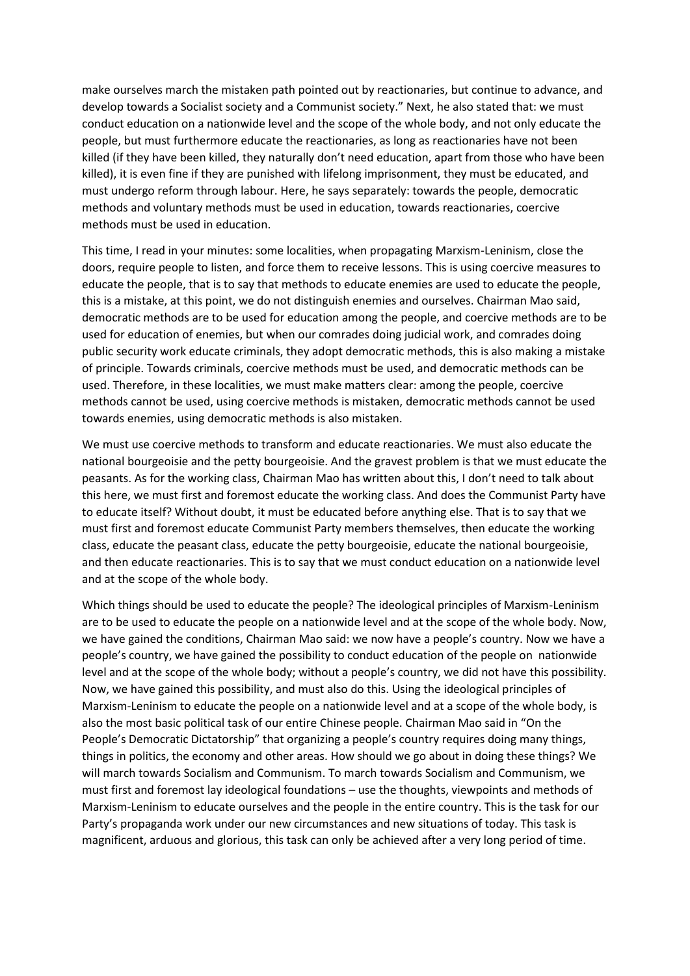make ourselves march the mistaken path pointed out by reactionaries, but continue to advance, and develop towards a Socialist society and a Communist society." Next, he also stated that: we must conduct education on a nationwide level and the scope of the whole body, and not only educate the people, but must furthermore educate the reactionaries, as long as reactionaries have not been killed (if they have been killed, they naturally don't need education, apart from those who have been killed), it is even fine if they are punished with lifelong imprisonment, they must be educated, and must undergo reform through labour. Here, he says separately: towards the people, democratic methods and voluntary methods must be used in education, towards reactionaries, coercive methods must be used in education.

This time, I read in your minutes: some localities, when propagating Marxism-Leninism, close the doors, require people to listen, and force them to receive lessons. This is using coercive measures to educate the people, that is to say that methods to educate enemies are used to educate the people, this is a mistake, at this point, we do not distinguish enemies and ourselves. Chairman Mao said, democratic methods are to be used for education among the people, and coercive methods are to be used for education of enemies, but when our comrades doing judicial work, and comrades doing public security work educate criminals, they adopt democratic methods, this is also making a mistake of principle. Towards criminals, coercive methods must be used, and democratic methods can be used. Therefore, in these localities, we must make matters clear: among the people, coercive methods cannot be used, using coercive methods is mistaken, democratic methods cannot be used towards enemies, using democratic methods is also mistaken.

We must use coercive methods to transform and educate reactionaries. We must also educate the national bourgeoisie and the petty bourgeoisie. And the gravest problem is that we must educate the peasants. As for the working class, Chairman Mao has written about this, I don't need to talk about this here, we must first and foremost educate the working class. And does the Communist Party have to educate itself? Without doubt, it must be educated before anything else. That is to say that we must first and foremost educate Communist Party members themselves, then educate the working class, educate the peasant class, educate the petty bourgeoisie, educate the national bourgeoisie, and then educate reactionaries. This is to say that we must conduct education on a nationwide level and at the scope of the whole body.

Which things should be used to educate the people? The ideological principles of Marxism-Leninism are to be used to educate the people on a nationwide level and at the scope of the whole body. Now, we have gained the conditions, Chairman Mao said: we now have a people's country. Now we have a people's country, we have gained the possibility to conduct education of the people on nationwide level and at the scope of the whole body; without a people's country, we did not have this possibility. Now, we have gained this possibility, and must also do this. Using the ideological principles of Marxism-Leninism to educate the people on a nationwide level and at a scope of the whole body, is also the most basic political task of our entire Chinese people. Chairman Mao said in "On the People's Democratic Dictatorship" that organizing a people's country requires doing many things, things in politics, the economy and other areas. How should we go about in doing these things? We will march towards Socialism and Communism. To march towards Socialism and Communism, we must first and foremost lay ideological foundations – use the thoughts, viewpoints and methods of Marxism-Leninism to educate ourselves and the people in the entire country. This is the task for our Party's propaganda work under our new circumstances and new situations of today. This task is magnificent, arduous and glorious, this task can only be achieved after a very long period of time.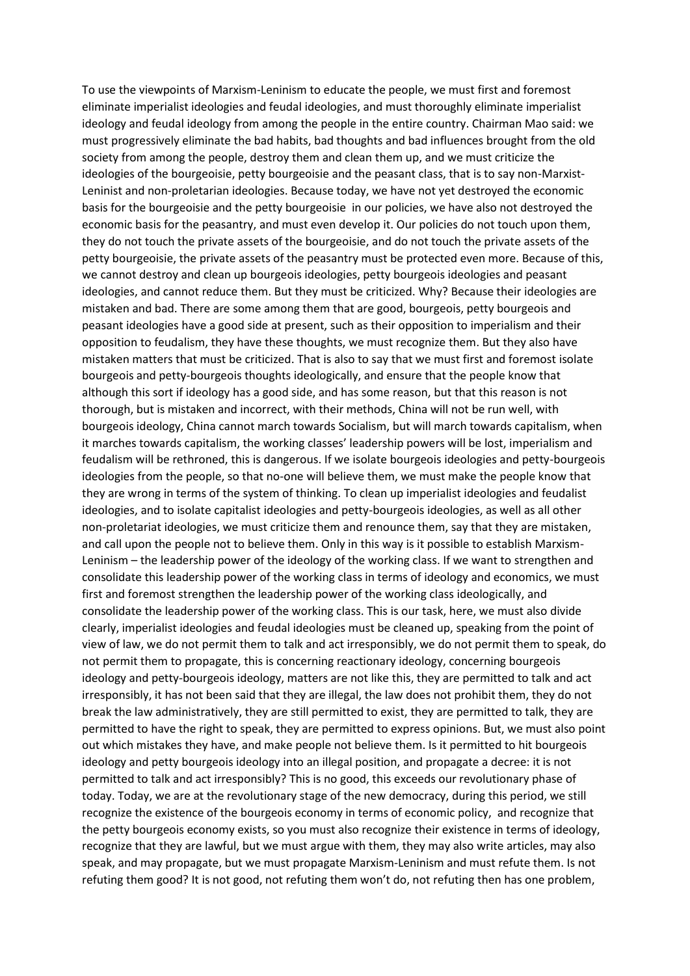To use the viewpoints of Marxism-Leninism to educate the people, we must first and foremost eliminate imperialist ideologies and feudal ideologies, and must thoroughly eliminate imperialist ideology and feudal ideology from among the people in the entire country. Chairman Mao said: we must progressively eliminate the bad habits, bad thoughts and bad influences brought from the old society from among the people, destroy them and clean them up, and we must criticize the ideologies of the bourgeoisie, petty bourgeoisie and the peasant class, that is to say non-Marxist-Leninist and non-proletarian ideologies. Because today, we have not yet destroyed the economic basis for the bourgeoisie and the petty bourgeoisie in our policies, we have also not destroyed the economic basis for the peasantry, and must even develop it. Our policies do not touch upon them, they do not touch the private assets of the bourgeoisie, and do not touch the private assets of the petty bourgeoisie, the private assets of the peasantry must be protected even more. Because of this, we cannot destroy and clean up bourgeois ideologies, petty bourgeois ideologies and peasant ideologies, and cannot reduce them. But they must be criticized. Why? Because their ideologies are mistaken and bad. There are some among them that are good, bourgeois, petty bourgeois and peasant ideologies have a good side at present, such as their opposition to imperialism and their opposition to feudalism, they have these thoughts, we must recognize them. But they also have mistaken matters that must be criticized. That is also to say that we must first and foremost isolate bourgeois and petty-bourgeois thoughts ideologically, and ensure that the people know that although this sort if ideology has a good side, and has some reason, but that this reason is not thorough, but is mistaken and incorrect, with their methods, China will not be run well, with bourgeois ideology, China cannot march towards Socialism, but will march towards capitalism, when it marches towards capitalism, the working classes' leadership powers will be lost, imperialism and feudalism will be rethroned, this is dangerous. If we isolate bourgeois ideologies and petty-bourgeois ideologies from the people, so that no-one will believe them, we must make the people know that they are wrong in terms of the system of thinking. To clean up imperialist ideologies and feudalist ideologies, and to isolate capitalist ideologies and petty-bourgeois ideologies, as well as all other non-proletariat ideologies, we must criticize them and renounce them, say that they are mistaken, and call upon the people not to believe them. Only in this way is it possible to establish Marxism-Leninism – the leadership power of the ideology of the working class. If we want to strengthen and consolidate this leadership power of the working class in terms of ideology and economics, we must first and foremost strengthen the leadership power of the working class ideologically, and consolidate the leadership power of the working class. This is our task, here, we must also divide clearly, imperialist ideologies and feudal ideologies must be cleaned up, speaking from the point of view of law, we do not permit them to talk and act irresponsibly, we do not permit them to speak, do not permit them to propagate, this is concerning reactionary ideology, concerning bourgeois ideology and petty-bourgeois ideology, matters are not like this, they are permitted to talk and act irresponsibly, it has not been said that they are illegal, the law does not prohibit them, they do not break the law administratively, they are still permitted to exist, they are permitted to talk, they are permitted to have the right to speak, they are permitted to express opinions. But, we must also point out which mistakes they have, and make people not believe them. Is it permitted to hit bourgeois ideology and petty bourgeois ideology into an illegal position, and propagate a decree: it is not permitted to talk and act irresponsibly? This is no good, this exceeds our revolutionary phase of today. Today, we are at the revolutionary stage of the new democracy, during this period, we still recognize the existence of the bourgeois economy in terms of economic policy, and recognize that the petty bourgeois economy exists, so you must also recognize their existence in terms of ideology, recognize that they are lawful, but we must argue with them, they may also write articles, may also speak, and may propagate, but we must propagate Marxism-Leninism and must refute them. Is not refuting them good? It is not good, not refuting them won't do, not refuting then has one problem,